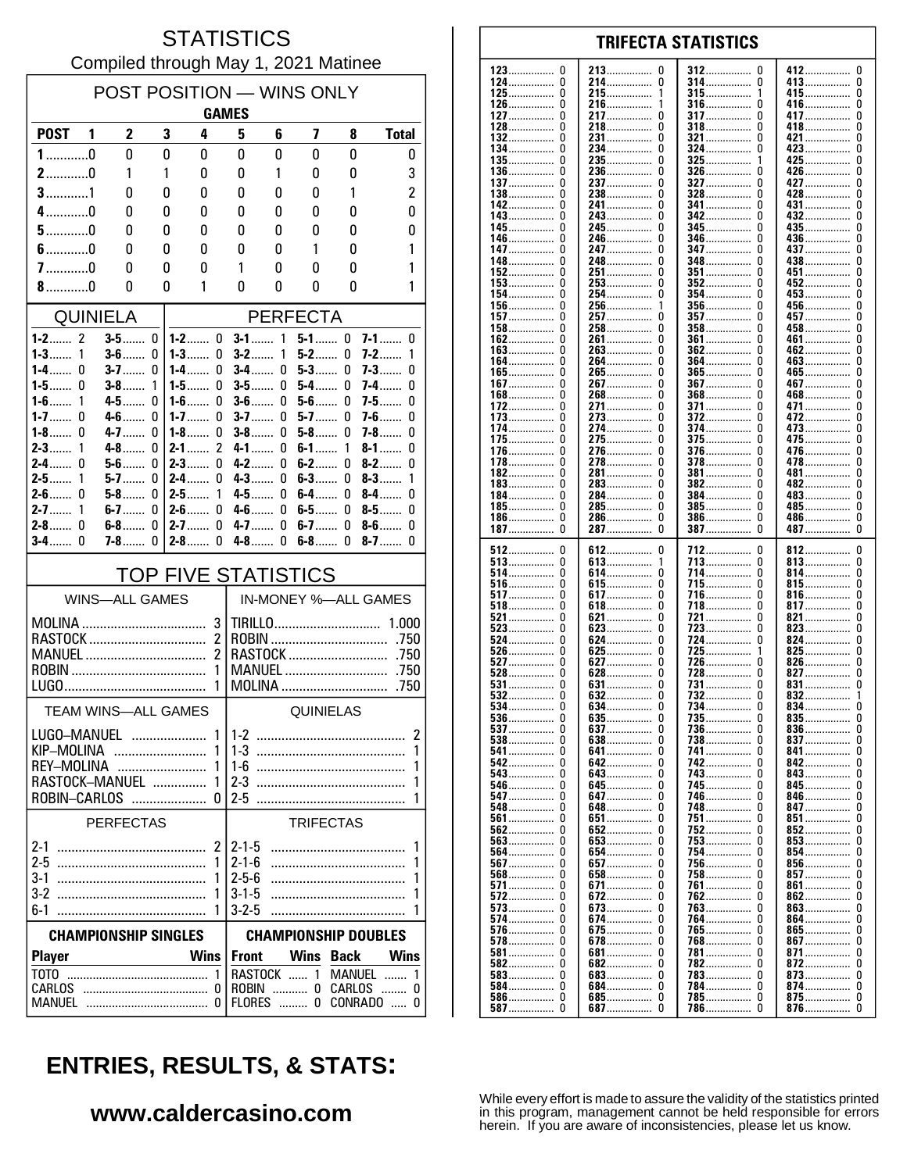#### **STATISTICS** Compiled through May 1, 2021 Matinee

| POST POSITION - WINS ONLY<br><b>GAMES</b>                                                          |                       |        |                                       |                                                                                   |               |                  |             |                                                            |  |
|----------------------------------------------------------------------------------------------------|-----------------------|--------|---------------------------------------|-----------------------------------------------------------------------------------|---------------|------------------|-------------|------------------------------------------------------------|--|
| <b>POST</b>                                                                                        | 2<br>1                | 3      | 4                                     | 5                                                                                 | 6             | 7                | 8           | <b>Total</b>                                               |  |
| $1$ 0                                                                                              | 0                     | 0      | 0                                     | 0                                                                                 | 0             | 0                | 0           | 0                                                          |  |
| $2$ 0                                                                                              | 1                     | 1      | 0                                     | 0                                                                                 | 1             | 0                | 0           | 3                                                          |  |
| $3$ 1                                                                                              | 0                     | 0      | 0                                     | 0                                                                                 | 0             | 0                | 1           | $\overline{c}$                                             |  |
| $4$ 0                                                                                              | 0                     | 0      | 0                                     | 0                                                                                 | 0             | 0                | 0           | 0                                                          |  |
| $5$ 0<br>$6$ 0                                                                                     | 0<br>0                | 0<br>0 | 0<br>0                                | 0<br>0                                                                            | 0<br>0        | 0<br>1           | 0<br>0      | 0<br>1                                                     |  |
| $7$ 0                                                                                              | 0                     | 0      | 0                                     | 1                                                                                 | 0             | 0                | 0           | 1                                                          |  |
| $8$ 0                                                                                              | 0                     | 0      | 1                                     | 0                                                                                 | 0             | 0                | 0           | 1                                                          |  |
| <b>QUINIELA</b><br><b>PERFECTA</b>                                                                 |                       |        |                                       |                                                                                   |               |                  |             |                                                            |  |
| 1-2…… 2                                                                                            | $3-5$                 | 0      | $1-2$<br>0                            | $3-1$                                                                             | 1             | $5-1$            | 0           | $7-1$<br>0                                                 |  |
| $1 - 3$<br>1                                                                                       | $3-6$                 | 0      | $1-3$<br>0                            | $3-2$                                                                             | 1             | $5-2$            | 0           | $7-2$<br>1                                                 |  |
| $1-4$<br>0<br>1-5 $\dots$<br>N                                                                     | $3 - 7$<br>$3-8$      | 0<br>1 | 1-4……<br>0<br>1-5……<br>0              | <b>3-4</b><br>$3-5$                                                               | 0<br>0        | $5-3$<br>$5-4$   | 0<br>0      | 7-3…….<br>0<br>7-4<br>0                                    |  |
| $1-6$<br>1                                                                                         | 4-5                   | 0      | 0<br>$1-6$                            | $3-6$                                                                             | 0             | $5-6$            | 0           | $7-5$<br>0                                                 |  |
| 1-7 $\dots$<br>0                                                                                   | $4 - 6$               | 0      | $1 - 7$<br>0                          | $3 - 7$                                                                           | 0             | $5-7$            | 0           | $7-6$<br>0                                                 |  |
| $1-8$<br>0<br>$2 - 3$<br>1                                                                         | $4 - 7$<br>$4 - 8$    | 0<br>0 | $1-8$<br>0<br>$\overline{c}$<br>$2-1$ | $3-8$<br>$4-1$                                                                    | 0<br>0        | $5-8$<br>$6-1$   | 0<br>1      | 7-8……<br>0<br>$8-1$<br>0                                   |  |
| $\Omega$<br>$2-4$                                                                                  | $5 - 6$               | 0      | $2-3$<br>0                            | $4 - 2$                                                                           | 0             | $6-2$            | 0           | $8 - 2$<br>0                                               |  |
| $2-5$<br>1                                                                                         | $5-7$                 | 0      | $2-4$<br>0                            | $4-3$                                                                             | 0             | $6-3$            | 0           | $8-3$<br>1                                                 |  |
| $2-6$<br>0<br>$2 - 7$<br>1                                                                         | $5-8$<br>$6-7$        | 0<br>0 | $2-5$<br>1<br>0<br>$2 - 6$            | 4-5<br>$4-6$                                                                      | 0<br>0        | 6-4……<br>6-5……   | 0<br>0      | $8-4$<br>0<br>$8-5$<br>0                                   |  |
| $\Omega$<br>$2 - 8$                                                                                | $6-8$                 | 0      | $2 - 7$<br>0                          | $4 - 7$                                                                           | 0             | $6-7$            | 0           | $8-6$<br>0                                                 |  |
| U<br>$3-4$                                                                                         | <b>7-8</b>            | 0      | $2 - 8$<br>0                          | $4-8$                                                                             | 0             | $6-8$            | 0           | $8-7$<br>0                                                 |  |
|                                                                                                    |                       |        | <b>TOP FIVE STATISTICS</b>            |                                                                                   |               |                  |             |                                                            |  |
|                                                                                                    | <b>WINS-ALL GAMES</b> |        |                                       |                                                                                   |               |                  |             | IN-MONEY %-ALL GAMES                                       |  |
| 3<br>$\mathfrak z$<br>RASTOCK<br>2<br>MANUEL<br>1<br>1                                             |                       |        |                                       | TIRILLO<br>1.000<br>.750<br>RASTOCK<br>.750<br>MANUEL<br>.750<br>MOLINA<br>.750   |               |                  |             |                                                            |  |
| <b>TEAM WINS-ALL GAMES</b>                                                                         |                       |        |                                       | QUINIELAS                                                                         |               |                  |             |                                                            |  |
| 1<br>LUGO–MANUEI<br>KIP-MOLINA<br>1<br>REY–MOLINA<br>1<br>RASTOCK-MANUEL<br>1<br>ROBIN-CARLOS<br>n |                       |        |                                       | $1 - 2$<br>2<br>$1 - 3$<br>1<br>$2-3$                                             |               |                  |             |                                                            |  |
|                                                                                                    | <b>PERFECTAS</b>      |        |                                       |                                                                                   |               | <b>TRIFECTAS</b> |             |                                                            |  |
| 2<br>1<br>1<br>$3-2$<br>1<br>6-1                                                                   |                       |        |                                       | $2 - 1 - 5$<br>1<br>$2 - 1 - 6$<br>1<br>$2 - 5 - 6$<br>$3 - 1 - 5$<br>$3 - 2 - 5$ |               |                  |             |                                                            |  |
| <b>CHAMPIONSHIP SINGLES</b>                                                                        |                       |        |                                       | <b>CHAMPIONSHIP DOUBLES</b>                                                       |               |                  |             |                                                            |  |
| <b>Player</b>                                                                                      |                       |        | <b>Wins</b>                           | <b>Front</b>                                                                      |               | <b>Wins</b>      | <b>Back</b> | Wins                                                       |  |
| T <sub>0</sub> T <sub>0</sub><br>CARLOS                                                            |                       |        | 1<br>0                                |                                                                                   | <b>FLORES</b> | 0                |             | RASTOCK  1 MANUEL<br>1<br>ROBIN  0 CARLOS  0<br>CONRADO  0 |  |

#### **TRIFECTA STATISTICS**  $\mathbf{0}$ 213.  $\mathbf 0$ 312  $\mathbf{0}$ 412  $\mathbf{0}$  $\ddot{\mathbf{0}}$ 413................  $\ddot{\mathbf{0}}$ . . . . . . . . .  $125$ ................  $\pmb{0}$ 215................  $\mathbf{1}$  $126$ ................  $\pmb{0}$  $216$ ................  $\Omega$  $416$ ................ 0 0 217  $\Omega$ 317  $\Omega$ 417  $\begin{matrix} 0 \\ 0 \end{matrix}$ . . . . . . . . . . . . . . . . . . . . . . . . . . . . . . . . . . . . . . . . . . . . . . . . . . . . . . . . . 418...........  $\Omega$  $218$ ................  $\Omega$ 318  $\Omega$ . . . . . . . . . . . . . . . ŏ  $\Omega$ 231................  $\Omega$  $321$  .................  $\Omega$ 421................ . . . . . . . . . . . . . . 134................  $\pmb{0}$ 234................  $\pmb{0}$ 324................  $\pmb{0}$ 423................ Ŏ  $135$ .................  $\pmb{0}$ 235.................  $\pmb{0}$ 325. 425................  $\mathbf 0$ . . . . . . . . . . . . . . . .  $136$ ................  $\pmb{0}$  $236$ ................  $\pmb{0}$  $326$ ................ 426................  $\pmb{0}$  $\Omega$  $\Omega$ 237  $\Omega$ 327  $\Omega$ 427  $\Omega$ . . . . . . . . . . . . . . . . . . . . . . . . . . . . . . . . . . . . . . . . . . . . . . . . . . . . . . . . . . . 428................  $\Omega$ 238  $\Omega$ 328  $\Omega$  $\Omega$ . . . . . . . . . . . . ............ . . . . . . . . . . . . . 241................  $\check{\mathbf{0}}$  $\check{0}$  $\tilde{0}$ 341................  $\Omega$ 431................ . . . . . . . . . . . . . . .  $\tilde{0}$ 243................ Ō ŏ  $\Omega$  $\tilde{0}$ 245................ Ō  $345.$ Ō  $\mathbf{0}$ 435...... . . . . . . . . . . . . . . .  $\pmb{0}$  $\mathbf 0$  $\pmb{0}$ 246 346 0 436................ .............. . . . . . . . . . . . . . . . . . . . . . . . . . . . . . . ............... 0 247  $\Omega$ 347  $\Omega$ 437  $\Omega$ . . . . . . . . . . . . . . . . . . . . . . . . . . . . . . . . . . . . . . . . . . . . . . 248................ 438.................  $\pmb{0}$  $\pmb{0}$  $348$ ................  $\mathbf{0}$  $\pmb{0}$ . . . . . . . . . . . . . . . . .............. 0 251 351 0 451 0 . . . . . . . . . . . . . . . . . . . . . . . . . . . . . . 452................  $\Omega$ 253.  $\Omega$ 352  $\Omega$ . . . . . . . . . . . . . . . . . . . . . . . . . . . . Ŏ  $354$ ................  $453$ ................  $\Omega$ 256...............  $356$ ................  $\mathbf 0$  $\overline{1}$  $157...$  0 Ŏ 357.................  $\Omega$ 457................ 361  $\mathbf{0}$  $461$ .................  $\Omega$ . . . . . . . . . . . . . . . . 362.  $\Omega$ 462................  $_{\rm 0}^{\rm 0}$ . . . . . . . . . . . . . . .  $364$ ................  $\overline{0}$ 463................  $\frac{365}{367}$  $465$ ................  $\overline{0}$ Ō  $\mathsf{I}$  $\mathsf{l}$  $\tilde{a}$  $\tilde{0}$  $55$

123

 $124$ 

127

128

 $132.$ 

137

 $\frac{138}{142}$ 

145.

146<br>147

148

152

 $107$ 

| .               |   | 0             | ,,              | ,,<br>0       |
|-----------------|---|---------------|-----------------|---------------|
| 168……………  0     |   | 268           |                 | 468……………      |
| 172             |   | 271           | 371             | 471<br>U      |
| 173             | U | 273<br>U      | 372             | 472<br>0      |
| 174             | 0 | 274<br>U      | 374             | 473<br>0      |
| 175             |   | 275<br>0      | $375$           | 475<br>0      |
| 176……………        | 0 | 276……………<br>0 | $376$<br>0      | 476<br>0      |
| 178             | 0 | 278<br>U      | 378             | 478<br>U      |
|                 | 0 |               | 0               | 0             |
| 182             |   | 281<br>U      | 381             | 481           |
| 183             | 0 | 283<br>0      | 382<br>0        | 482<br>0      |
| 184             |   | 284           | 384……………        | 483<br>U      |
| 185             | 0 | 285           | <b>385</b><br>0 | 485<br>0      |
| $186$<br>0      |   | 286<br>0      | $386$<br>0      | 486<br>0      |
| 187             |   | 287           | $387$<br>0      | 487<br>0      |
|                 |   |               |                 |               |
| 512             | 0 | 612<br>0      | 712<br>0        | 812<br>0      |
|                 |   |               |                 |               |
| $513$           |   | 613<br>1      | 713             | 813<br>0      |
| 514……………        | 0 | 614<br>0      | 714<br>0        | 814……………<br>0 |
| 516             | 0 | 615<br>0      | 715<br>0        | 815<br>0      |
| 517             |   | 617           | 716<br>0        | 816<br>0      |
| $518$           | 0 | 618<br>0      | 718<br>0        | 817<br>0      |
| 521             | 0 | 621<br>0      | 721<br>0        | 821<br>0      |
| $523$           |   | $623$<br>U    | <b>723</b><br>0 | 823<br>0      |
|                 |   |               | 0               |               |
| 524             | 0 | 624<br>0      | 724             | 824<br>0      |
| 526             | 0 | 625<br>0      | $725$           | 825<br>0      |
| 527             | U | 627<br>U      | 726<br>0        | 826<br>U      |
| $528$           | U | $628$<br>U    | 728<br>0        | 827<br>U      |
| 531             | 0 | 631<br>0      | 731<br>0        | 831<br>0      |
| $532 \ldots$    |   | $632$         | <b>732</b><br>0 | 832<br>1      |
| 534             | 0 | 634<br>0      | <b>734</b><br>0 | 834<br>0      |
|                 |   | 0             | 0               | $835$<br>0    |
| $536$           |   | $635$         | 735             |               |
| 537             |   | 637           | 736             | 836<br>U      |
| $538$           | U | $638$<br>U    | 738<br>0        | 837<br>U      |
| 541             |   | 641<br>0      | 741<br>0        | 841<br>0      |
| 542             |   | 642<br>0      | 742             | 842<br>0      |
| 543             | 0 | 643<br>0      | <b>743</b><br>0 | 843<br>0      |
| 546             |   | 645<br>0      | 745             | 845<br>0      |
| 547             |   | 647           | 746             | 846……………<br>0 |
|                 |   |               | 0               |               |
| 548             | 0 | 648<br>U      | 748             | 847<br>U      |
| 561             |   | 651           | 751<br>0        | 851……………<br>0 |
| 562             |   | 652           | <b>752</b>      | 852<br>U      |
| $563 \ldots$    | 0 | $653$<br>0    | 753<br>0        | $853$<br>0    |
| 564             |   | 654           | 754<br>0        | 854<br>0      |
| $567$           |   | 657<br>0      | <b>756</b><br>0 | $856$<br>0    |
| $568 \dots 568$ | 0 | 658<br>0      | 758<br>0        | 857<br>0      |
| $571$           |   |               | 761<br>0        | 861<br>0      |
|                 |   | 671           |                 |               |
| <b>572</b>      |   | 672<br>0      | 762<br>0        | 862<br>U      |
| 573             | 0 | 673<br>U      | 763<br>0        | 863<br>U      |
| 574             |   | 674<br>U      | 764<br>0        | 864<br>0      |
| 576             |   | 675<br>0      | <b>765</b><br>0 | 865<br>0      |
| 578             | 0 | $678$<br>0    | 768             | 867<br>0      |
| 581             |   | 681<br>0      | 781             | 871<br>0      |
| $582$           |   | 682<br>0      | 782<br>0        | $872$<br>0    |
|                 |   |               |                 |               |
| $583$           |   | 683<br>U      | 783             | 873<br>0      |
| 584             |   | 684<br>0      | 784<br>0        | 874<br>0      |
| <b>586</b>      | 0 | 685<br>0      | 785<br>0        | 875<br>0      |
| $587$           |   | 687<br>0      | 786<br>0        | 876<br>0      |

# **ENTRIES, RESULTS, & STATS:**

### www.caldercasino.com

While every effort is made to assure the validity of the statistics printed in this program, management cannot be held responsible for errors herein. If you are aware of inconsistencies, please let us know.